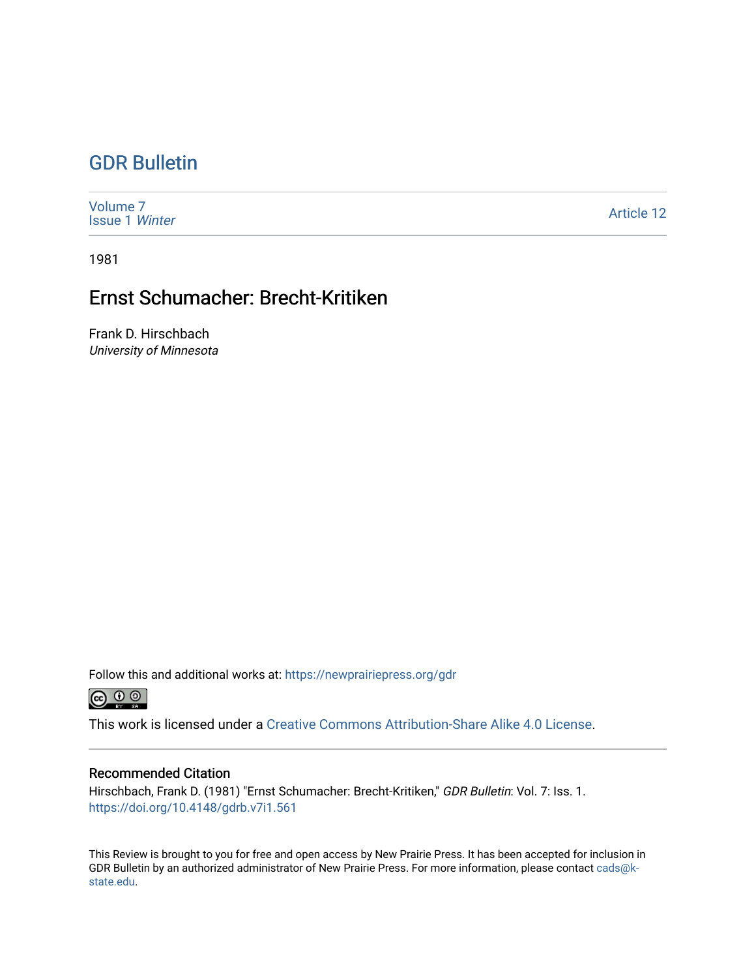## [GDR Bulletin](https://newprairiepress.org/gdr)

| Volume <sub>7</sub><br><b>Issue 1 Winter</b> | <b>Article 12</b> |
|----------------------------------------------|-------------------|
|----------------------------------------------|-------------------|

1981

## Ernst Schumacher: Brecht-Kritiken

Frank D. Hirschbach University of Minnesota

Follow this and additional works at: [https://newprairiepress.org/gdr](https://newprairiepress.org/gdr?utm_source=newprairiepress.org%2Fgdr%2Fvol7%2Fiss1%2F12&utm_medium=PDF&utm_campaign=PDFCoverPages) 



This work is licensed under a [Creative Commons Attribution-Share Alike 4.0 License.](https://creativecommons.org/licenses/by-sa/4.0/)

## Recommended Citation

Hirschbach, Frank D. (1981) "Ernst Schumacher: Brecht-Kritiken," GDR Bulletin: Vol. 7: Iss. 1. <https://doi.org/10.4148/gdrb.v7i1.561>

This Review is brought to you for free and open access by New Prairie Press. It has been accepted for inclusion in GDR Bulletin by an authorized administrator of New Prairie Press. For more information, please contact [cads@k](mailto:cads@k-state.edu)[state.edu](mailto:cads@k-state.edu).